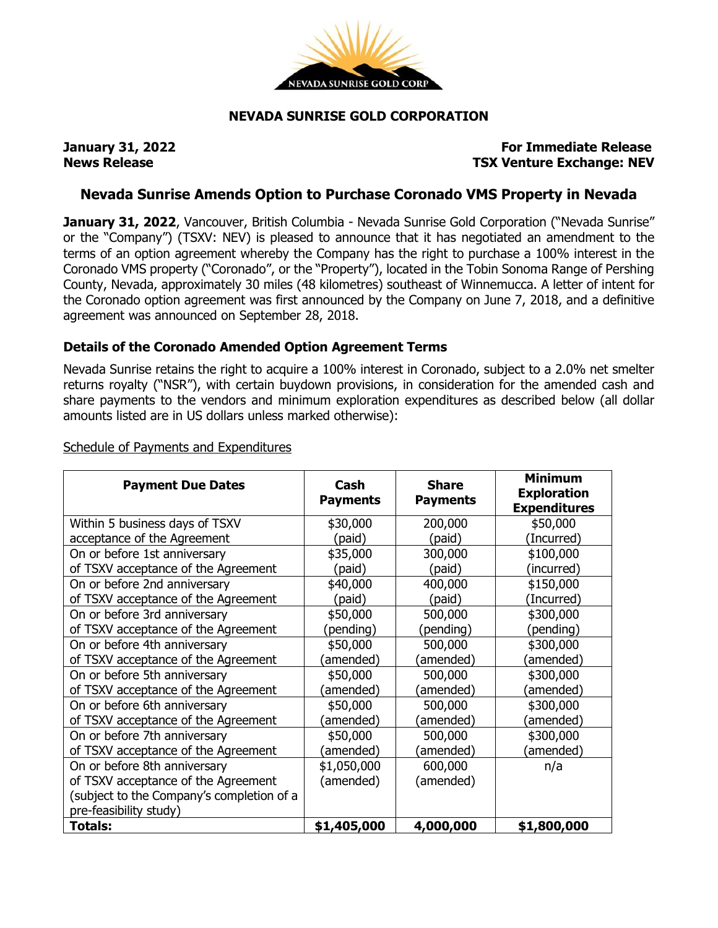

## **NEVADA SUNRISE GOLD CORPORATION**

## **January 31, 2022 For Immediate Release News Release TSX Venture Exchange: NEV**

# **Nevada Sunrise Amends Option to Purchase Coronado VMS Property in Nevada**

**January 31, 2022**, Vancouver, British Columbia - Nevada Sunrise Gold Corporation ("Nevada Sunrise" or the "Company") (TSXV: NEV) is pleased to announce that it has negotiated an amendment to the terms of an option agreement whereby the Company has the right to purchase a 100% interest in the Coronado VMS property ("Coronado", or the "Property"), located in the Tobin Sonoma Range of Pershing County, Nevada, approximately 30 miles (48 kilometres) southeast of Winnemucca. A letter of intent for the Coronado option agreement was first announced by the Company on June 7, 2018, and a definitive agreement was announced on September 28, 2018.

## **Details of the Coronado Amended Option Agreement Terms**

Nevada Sunrise retains the right to acquire a 100% interest in Coronado, subject to a 2.0% net smelter returns royalty ("NSR"), with certain buydown provisions, in consideration for the amended cash and share payments to the vendors and minimum exploration expenditures as described below (all dollar amounts listed are in US dollars unless marked otherwise):

| <b>Payment Due Dates</b>                  | Cash<br><b>Payments</b> | <b>Share</b><br><b>Payments</b> | <b>Minimum</b><br><b>Exploration</b><br><b>Expenditures</b> |
|-------------------------------------------|-------------------------|---------------------------------|-------------------------------------------------------------|
| Within 5 business days of TSXV            | \$30,000                | 200,000                         | \$50,000                                                    |
| acceptance of the Agreement               | (paid)                  | (paid)                          | (Incurred)                                                  |
| On or before 1st anniversary              | \$35,000                | 300,000                         | \$100,000                                                   |
| of TSXV acceptance of the Agreement       | (paid)                  | (paid)                          | (incurred)                                                  |
| On or before 2nd anniversary              | \$40,000                | 400,000                         | \$150,000                                                   |
| of TSXV acceptance of the Agreement       | (paid)                  | (paid)                          | (Incurred)                                                  |
| On or before 3rd anniversary              | \$50,000                | 500,000                         | \$300,000                                                   |
| of TSXV acceptance of the Agreement       | (pending)               | (pending)                       | (pending)                                                   |
| On or before 4th anniversary              | \$50,000                | 500,000                         | \$300,000                                                   |
| of TSXV acceptance of the Agreement       | (amended)               | (amended)                       | (amended)                                                   |
| On or before 5th anniversary              | \$50,000                | 500,000                         | \$300,000                                                   |
| of TSXV acceptance of the Agreement       | (amended)               | (amended)                       | (amended)                                                   |
| On or before 6th anniversary              | \$50,000                | 500,000                         | \$300,000                                                   |
| of TSXV acceptance of the Agreement       | (amended)               | (amended)                       | (amended)                                                   |
| On or before 7th anniversary              | \$50,000                | 500,000                         | \$300,000                                                   |
| of TSXV acceptance of the Agreement       | (amended)               | (amended)                       | (amended)                                                   |
| On or before 8th anniversary              | \$1,050,000             | 600,000                         | n/a                                                         |
| of TSXV acceptance of the Agreement       | (amended)               | (amended)                       |                                                             |
| (subject to the Company's completion of a |                         |                                 |                                                             |
| pre-feasibility study)                    |                         |                                 |                                                             |
| <b>Totals:</b>                            | \$1,405,000             | 4,000,000                       | \$1,800,000                                                 |

#### Schedule of Payments and Expenditures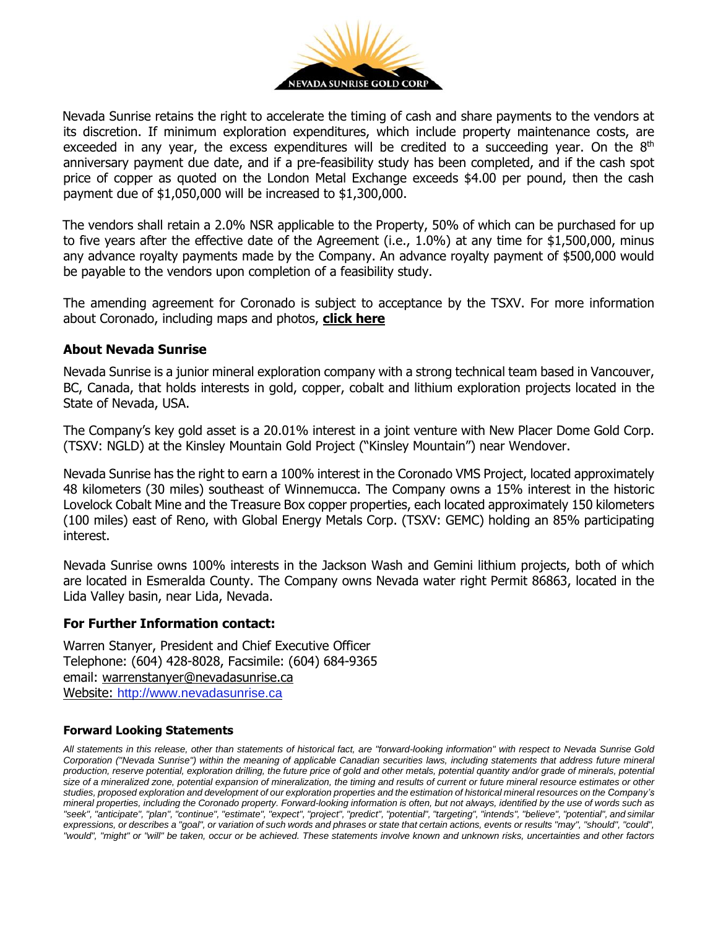

Nevada Sunrise retains the right to accelerate the timing of cash and share payments to the vendors at its discretion. If minimum exploration expenditures, which include property maintenance costs, are exceeded in any year, the excess expenditures will be credited to a succeeding year. On the  $8<sup>th</sup>$ anniversary payment due date, and if a pre-feasibility study has been completed, and if the cash spot price of copper as quoted on the London Metal Exchange exceeds \$4.00 per pound, then the cash payment due of \$1,050,000 will be increased to \$1,300,000.

The vendors shall retain a 2.0% NSR applicable to the Property, 50% of which can be purchased for up to five years after the effective date of the Agreement (i.e., 1.0%) at any time for \$1,500,000, minus any advance royalty payments made by the Company. An advance royalty payment of \$500,000 would be payable to the vendors upon completion of a feasibility study.

The amending agreement for Coronado is subject to acceptance by the TSXV. For more information about Coronado, including maps and photos, **[click](https://www.nevadasunrise.ca/projects/coronado-vms-project/) here**

### **About Nevada Sunrise**

Nevada Sunrise is a junior mineral exploration company with a strong technical team based in Vancouver, BC, Canada, that holds interests in gold, copper, cobalt and lithium exploration projects located in the State of Nevada, USA.

The Company's key gold asset is a 20.01% interest in a joint venture with New Placer Dome Gold Corp. (TSXV: NGLD) at the Kinsley Mountain Gold Project ("Kinsley Mountain") near Wendover.

Nevada Sunrise has the right to earn a 100% interest in the Coronado VMS Project, located approximately 48 kilometers (30 miles) southeast of Winnemucca. The Company owns a 15% interest in the historic Lovelock Cobalt Mine and the Treasure Box copper properties, each located approximately 150 kilometers (100 miles) east of Reno, with Global Energy Metals Corp. (TSXV: GEMC) holding an 85% participating interest.

Nevada Sunrise owns 100% interests in the Jackson Wash and Gemini lithium projects, both of which are located in Esmeralda County. The Company owns Nevada water right Permit 86863, located in the Lida Valley basin, near Lida, Nevada.

#### **For Further Information contact:**

Warren Stanyer, President and Chief Executive Officer Telephone: (604) 428-8028, Facsimile: (604) 684-9365 email: [warrenstanyer@nevadasunrise.ca](mailto:warrenstanyer@nevadasunrise.ca) Website: [http://www.nevadasunrise.ca](http://www.nevadasunrise.ca/)

#### **Forward Looking Statements**

All statements in this release, other than statements of historical fact, are "forward-looking information" with respect to Nevada Sunrise Gold Corporation ("Nevada Sunrise") within the meaning of applicable Canadian securities laws, including statements that address future mineral production, reserve potential, exploration drilling, the future price of gold and other metals, potential quantity and/or grade of minerals, potential size of a mineralized zone, potential expansion of mineralization, the timing and results of current or future mineral resource estimates or other studies, proposed exploration and development of our exploration properties and the estimation of historical mineral resources on the Company's mineral properties, including the Coronado property. Forward-looking information is often, but not always, identified by the use of words such as "seek", "anticipate", "plan", "continue", "estimate", "expect", "project", "predict", "potential", "targeting", "intends", "believe", "potential", and similar expressions, or describes a "goal", or variation of such words and phrases or state that certain actions, events or results "may", "should", "could", "would", "might" or "will" be taken, occur or be achieved. These statements involve known and unknown risks, uncertainties and other factors